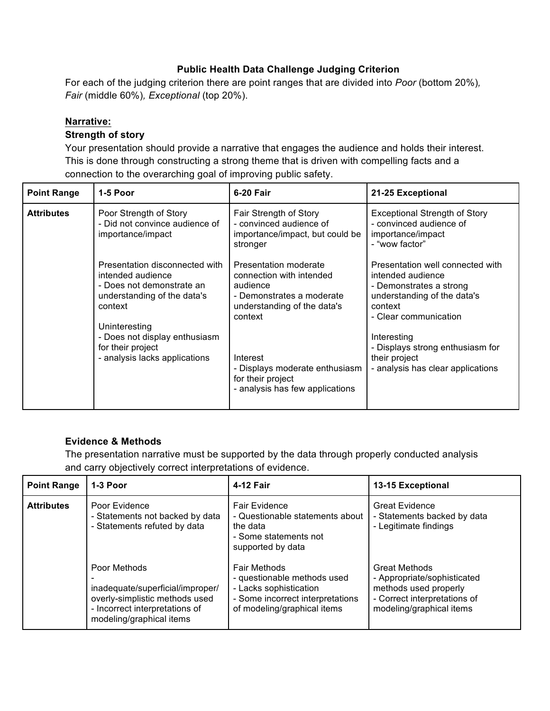#### **Public Health Data Challenge Judging Criterion**

For each of the judging criterion there are point ranges that are divided into *Poor* (bottom 20%)*, Fair* (middle 60%)*, Exceptional* (top 20%).

#### **Narrative:**

#### **Strength of story**

Your presentation should provide a narrative that engages the audience and holds their interest. This is done through constructing a strong theme that is driven with compelling facts and a connection to the overarching goal of improving public safety.

| <b>Point Range</b> | 1-5 Poor                                                                                                                   | 6-20 Fair                                                                                                                            | 21-25 Exceptional                                                                                                                                   |
|--------------------|----------------------------------------------------------------------------------------------------------------------------|--------------------------------------------------------------------------------------------------------------------------------------|-----------------------------------------------------------------------------------------------------------------------------------------------------|
| <b>Attributes</b>  | Poor Strength of Story<br>- Did not convince audience of<br>importance/impact                                              | Fair Strength of Story<br>- convinced audience of<br>importance/impact, but could be<br>stronger                                     | <b>Exceptional Strength of Story</b><br>- convinced audience of<br>importance/impact<br>- "wow factor"                                              |
|                    | Presentation disconnected with<br>intended audience<br>- Does not demonstrate an<br>understanding of the data's<br>context | Presentation moderate<br>connection with intended<br>audience<br>- Demonstrates a moderate<br>understanding of the data's<br>context | Presentation well connected with<br>intended audience<br>- Demonstrates a strong<br>understanding of the data's<br>context<br>- Clear communication |
|                    | Uninteresting<br>- Does not display enthusiasm<br>for their project<br>- analysis lacks applications                       | Interest<br>- Displays moderate enthusiasm<br>for their project<br>- analysis has few applications                                   | Interesting<br>- Displays strong enthusiasm for<br>their project<br>- analysis has clear applications                                               |

#### **Evidence & Methods**

The presentation narrative must be supported by the data through properly conducted analysis and carry objectively correct interpretations of evidence.

| <b>Point Range</b> | 1-3 Poor                                                                                                                                         | 4-12 Fair                                                                                                                                       | 13-15 Exceptional                                                                                                                        |
|--------------------|--------------------------------------------------------------------------------------------------------------------------------------------------|-------------------------------------------------------------------------------------------------------------------------------------------------|------------------------------------------------------------------------------------------------------------------------------------------|
| <b>Attributes</b>  | Poor Evidence<br>- Statements not backed by data<br>- Statements refuted by data                                                                 | <b>Fair Evidence</b><br>- Questionable statements about<br>the data<br>- Some statements not<br>supported by data                               | <b>Great Evidence</b><br>- Statements backed by data<br>- Legitimate findings                                                            |
|                    | Poor Methods<br>inadequate/superficial/improper/<br>overly-simplistic methods used<br>- Incorrect interpretations of<br>modeling/graphical items | <b>Fair Methods</b><br>- questionable methods used<br>- Lacks sophistication<br>- Some incorrect interpretations<br>of modeling/graphical items | <b>Great Methods</b><br>- Appropriate/sophisticated<br>methods used properly<br>- Correct interpretations of<br>modeling/graphical items |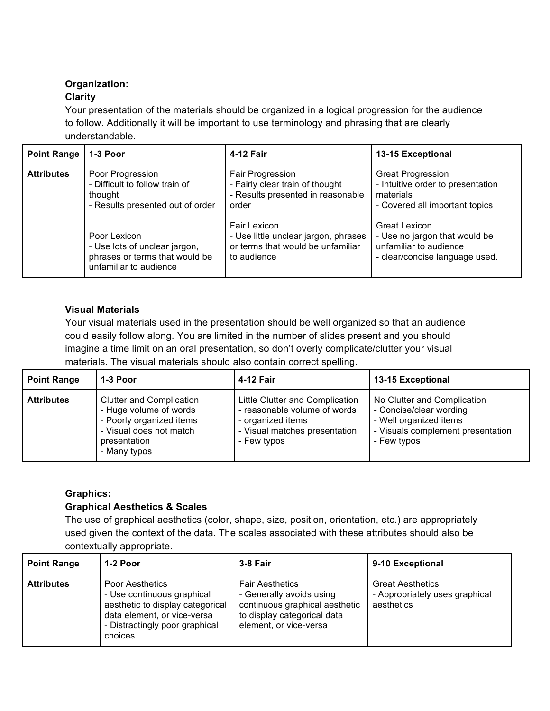# **Organization:**

## **Clarity**

Your presentation of the materials should be organized in a logical progression for the audience to follow. Additionally it will be important to use terminology and phrasing that are clearly understandable.

| <b>Point Range</b> | $1-3$ Poor                       | 4-12 Fair                            | 13-15 Exceptional                 |
|--------------------|----------------------------------|--------------------------------------|-----------------------------------|
| <b>Attributes</b>  | Poor Progression                 | Fair Progression                     | <b>Great Progression</b>          |
|                    | - Difficult to follow train of   | - Fairly clear train of thought      | - Intuitive order to presentation |
|                    | thought                          | - Results presented in reasonable    | materials                         |
|                    | - Results presented out of order | order                                | - Covered all important topics    |
|                    | Poor Lexicon                     | <b>Fair Lexicon</b>                  | <b>Great Lexicon</b>              |
|                    | - Use lots of unclear jargon,    | - Use little unclear jargon, phrases | - Use no jargon that would be     |
|                    | phrases or terms that would be   | or terms that would be unfamiliar    | unfamiliar to audience            |
|                    | unfamiliar to audience           | to audience                          | - clear/concise language used.    |

## **Visual Materials**

Your visual materials used in the presentation should be well organized so that an audience could easily follow along. You are limited in the number of slides present and you should imagine a time limit on an oral presentation, so don't overly complicate/clutter your visual materials. The visual materials should also contain correct spelling.

| <b>Point Range</b> | 1-3 Poor                                                                                                                                         | 4-12 Fair                                                                                                                            | 13-15 Exceptional                                                                                                                    |
|--------------------|--------------------------------------------------------------------------------------------------------------------------------------------------|--------------------------------------------------------------------------------------------------------------------------------------|--------------------------------------------------------------------------------------------------------------------------------------|
| <b>Attributes</b>  | <b>Clutter and Complication</b><br>- Huge volume of words<br>- Poorly organized items<br>- Visual does not match<br>presentation<br>- Many typos | Little Clutter and Complication<br>- reasonable volume of words<br>- organized items<br>- Visual matches presentation<br>- Few typos | No Clutter and Complication<br>- Concise/clear wording<br>- Well organized items<br>- Visuals complement presentation<br>- Few typos |

# **Graphics:**

# **Graphical Aesthetics & Scales**

The use of graphical aesthetics (color, shape, size, position, orientation, etc.) are appropriately used given the context of the data. The scales associated with these attributes should also be contextually appropriate.

| <b>Point Range</b> | 1-2 Poor                                                                                                                                                             | 3-8 Fair                                                                                                                                      | 9-10 Exceptional                                                        |
|--------------------|----------------------------------------------------------------------------------------------------------------------------------------------------------------------|-----------------------------------------------------------------------------------------------------------------------------------------------|-------------------------------------------------------------------------|
| <b>Attributes</b>  | <b>Poor Aesthetics</b><br>- Use continuous graphical<br>aesthetic to display categorical<br>data element, or vice-versa<br>- Distractingly poor graphical<br>choices | <b>Fair Aesthetics</b><br>- Generally avoids using<br>continuous graphical aesthetic<br>to display categorical data<br>element, or vice-versa | <b>Great Aesthetics</b><br>- Appropriately uses graphical<br>aesthetics |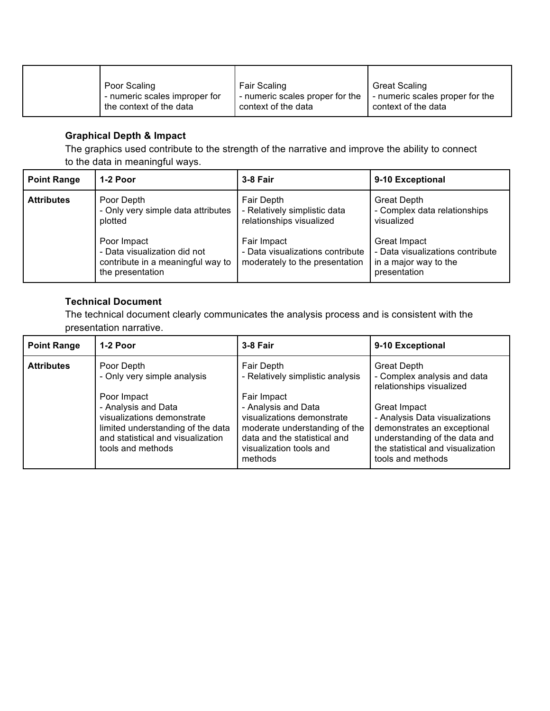| Poor Scaling                  | Fair Scaling                    | <b>Great Scaling</b>            |
|-------------------------------|---------------------------------|---------------------------------|
| - numeric scales improper for | - numeric scales proper for the | - numeric scales proper for the |
| the context of the data       | context of the data             | context of the data             |

### **Graphical Depth & Impact**

The graphics used contribute to the strength of the narrative and improve the ability to connect to the data in meaningful ways.

| <b>Point Range</b> | 1-2 Poor                                                                              | 3-8 Fair                                                                              | 9-10 Exceptional                                                                 |
|--------------------|---------------------------------------------------------------------------------------|---------------------------------------------------------------------------------------|----------------------------------------------------------------------------------|
| <b>Attributes</b>  | Poor Depth<br>- Only very simple data attributes<br>plotted<br>Poor Impact            | Fair Depth<br>- Relatively simplistic data<br>relationships visualized<br>Fair Impact | <b>Great Depth</b><br>- Complex data relationships<br>visualized<br>Great Impact |
|                    | - Data visualization did not<br>contribute in a meaningful way to<br>the presentation | - Data visualizations contribute<br>moderately to the presentation                    | - Data visualizations contribute<br>in a major way to the<br>presentation        |

#### **Technical Document**

The technical document clearly communicates the analysis process and is consistent with the presentation narrative.

| <b>Point Range</b> | 1-2 Poor                                                                                                                                                                                                     | 3-8 Fair                                                                                                                                                                                                                  | 9-10 Exceptional                                                                                                                                                                                                                                          |
|--------------------|--------------------------------------------------------------------------------------------------------------------------------------------------------------------------------------------------------------|---------------------------------------------------------------------------------------------------------------------------------------------------------------------------------------------------------------------------|-----------------------------------------------------------------------------------------------------------------------------------------------------------------------------------------------------------------------------------------------------------|
| <b>Attributes</b>  | Poor Depth<br>- Only very simple analysis<br>Poor Impact<br>- Analysis and Data<br>visualizations demonstrate<br>limited understanding of the data<br>and statistical and visualization<br>tools and methods | Fair Depth<br>- Relatively simplistic analysis<br>Fair Impact<br>- Analysis and Data<br>visualizations demonstrate<br>moderate understanding of the<br>data and the statistical and<br>visualization tools and<br>methods | <b>Great Depth</b><br>- Complex analysis and data<br>relationships visualized<br>Great Impact<br>- Analysis Data visualizations<br>demonstrates an exceptional<br>understanding of the data and<br>the statistical and visualization<br>tools and methods |